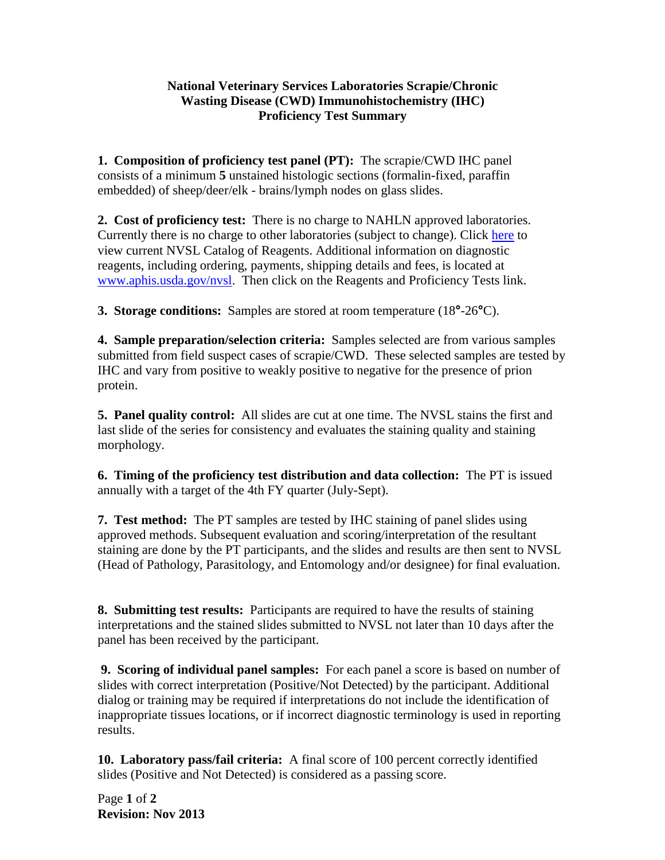## **National Veterinary Services Laboratories Scrapie/Chronic Wasting Disease (CWD) Immunohistochemistry (IHC) Proficiency Test Summary**

**1. Composition of proficiency test panel (PT):** The scrapie/CWD IHC panel consists of a minimum **5** unstained histologic sections (formalin-fixed, paraffin embedded) of sheep/deer/elk - brains/lymph nodes on glass slides.

**2. Cost of proficiency test:** There is no charge to NAHLN approved laboratories. Currently there is no charge to other laboratories (subject to change). Click [here](http://www.aphis.usda.gov/animal_health/lab_info_services/downloads/AmesReagentManualCurrent.pdf) to view current NVSL Catalog of Reagents. Additional information on diagnostic reagents, including ordering, payments, shipping details and fees, is located at [www.aphis.usda.gov/nvsl.](http://www.aphis.usda.gov/nvsl) Then click on the Reagents and Proficiency Tests link.

**3. Storage conditions:** Samples are stored at room temperature (18**°**-26**°**C).

**4. Sample preparation/selection criteria:** Samples selected are from various samples submitted from field suspect cases of scrapie/CWD. These selected samples are tested by IHC and vary from positive to weakly positive to negative for the presence of prion protein.

**5. Panel quality control:** All slides are cut at one time. The NVSL stains the first and last slide of the series for consistency and evaluates the staining quality and staining morphology.

**6. Timing of the proficiency test distribution and data collection:** The PT is issued annually with a target of the 4th FY quarter (July-Sept).

**7. Test method:** The PT samples are tested by IHC staining of panel slides using approved methods. Subsequent evaluation and scoring/interpretation of the resultant staining are done by the PT participants, and the slides and results are then sent to NVSL (Head of Pathology, Parasitology, and Entomology and/or designee) for final evaluation.

**8. Submitting test results:** Participants are required to have the results of staining interpretations and the stained slides submitted to NVSL not later than 10 days after the panel has been received by the participant.

**9. Scoring of individual panel samples:** For each panel a score is based on number of slides with correct interpretation (Positive/Not Detected) by the participant. Additional dialog or training may be required if interpretations do not include the identification of inappropriate tissues locations, or if incorrect diagnostic terminology is used in reporting results.

**10. Laboratory pass/fail criteria:** A final score of 100 percent correctly identified slides (Positive and Not Detected) is considered as a passing score.

Page **1** of **2 Revision: Nov 2013**